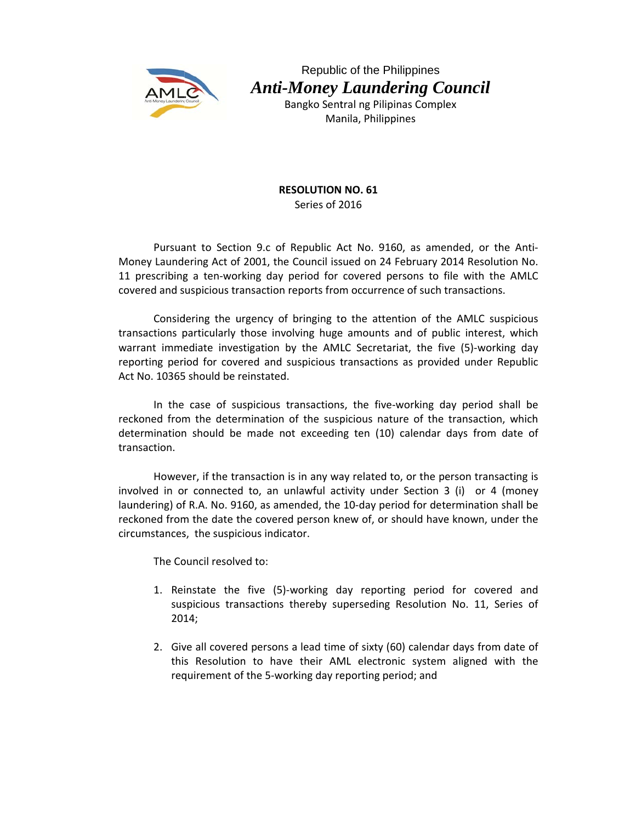

Republic of the Philippines **Anti-Money Laundering Council** Bangko Sentral ng Pilipinas Complex

Manila, Philippines

**RESOLUTION NO. 61** Series of 2016

Pursuant to Section 9.c of Republic Act No. 9160, as amended, or the Anti-Money Laundering Act of 2001, the Council issued on 24 February 2014 Resolution No. 11 prescribing a ten-working day period for covered persons to file with the AMLC covered and suspicious transaction reports from occurrence of such transactions.

Considering the urgency of bringing to the attention of the AMLC suspicious transactions particularly those involving huge amounts and of public interest, which warrant immediate investigation by the AMLC Secretariat, the five (5)-working day reporting period for covered and suspicious transactions as provided under Republic Act No. 10365 should be reinstated.

In the case of suspicious transactions, the five-working day period shall be reckoned from the determination of the suspicious nature of the transaction, which determination should be made not exceeding ten (10) calendar days from date of transaction.

However, if the transaction is in any way related to, or the person transacting is involved in or connected to, an unlawful activity under Section 3 (i) or 4 (money laundering) of R.A. No. 9160, as amended, the 10-day period for determination shall be reckoned from the date the covered person knew of, or should have known, under the circumstances, the suspicious indicator.

The Council resolved to:

- 1. Reinstate the five (5)-working day reporting period for covered and suspicious transactions thereby superseding Resolution No. 11, Series of  $2014;$
- 2. Give all covered persons a lead time of sixty (60) calendar days from date of this Resolution to have their AML electronic system aligned with the requirement of the 5-working day reporting period; and